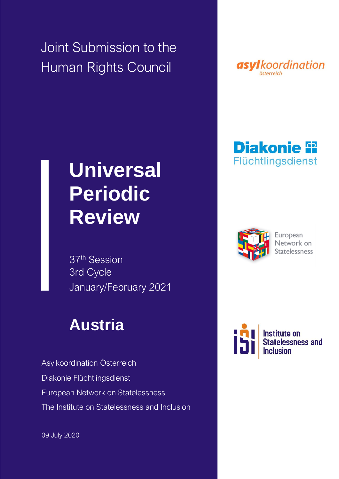Joint Submission to the Human Rights Council



## **Diakonie in** Flüchtlingsdienst



European Network on Statelessness



# **Universal Periodic Review**

37th Session 3rd Cycle January/February 2021

## **Austria**

Asylkoordination Österreich Diakonie Flüchtlingsdienst European Network on Statelessness The Institute on Statelessness and Inclusion

09 July 2020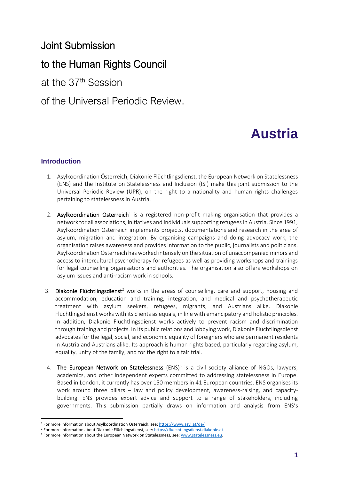### Joint Submission

## to the Human Rights Council

at the 37th Session

### of the Universal Periodic Review.

## **Austria**

#### **Introduction**

- 1. Asylkoordination Österreich, Diakonie Flüchtlingsdienst, the European Network on Statelessness (ENS) and the Institute on Statelessness and Inclusion (ISI) make this joint submission to the Universal Periodic Review (UPR), on the right to a nationality and human rights challenges pertaining to statelessness in Austria.
- 2. Asylkoordination Österreich<sup>1</sup> is a registered non-profit making organisation that provides a network for all associations, initiatives and individuals supporting refugees in Austria. Since 1991, Asylkoordination Österreich implements projects, documentations and research in the area of asylum, migration and integration. By organising campaigns and doing advocacy work, the organisation raises awareness and provides information to the public, journalists and politicians. Asylkoordination Österreich has worked intensely on the situation of unaccompanied minors and access to intercultural psychotherapy for refugees as well as providing workshops and trainings for legal counselling organisations and authorities. The organisation also offers workshops on asylum issues and anti-racism work in schools.
- 3. Diakonie Flüchtlingsdienst<sup>2</sup> works in the areas of counselling, care and support, housing and accommodation, education and training, integration, and medical and psychotherapeutic treatment with asylum seekers, refugees, migrants, and Austrians alike. Diakonie Flüchtlingsdienst works with its clients as equals, in line with emancipatory and holistic principles. In addition, Diakonie Flüchtlingsdienst works actively to prevent racism and discrimination through training and projects. In its public relations and lobbying work, Diakonie Flüchtlingsdienst advocates for the legal, social, and economic equality of foreigners who are permanent residents in Austria and Austrians alike. Its approach is human rights based, particularly regarding asylum, equality, unity of the family, and for the right to a fair trial.
- 4. The European Network on Statelessness (ENS)<sup>3</sup> is a civil society alliance of NGOs, lawyers, academics, and other independent experts committed to addressing statelessness in Europe. Based in London, it currently has over 150 members in 41 European countries. ENS organises its work around three pillars – law and policy development, awareness-raising, and capacitybuilding. ENS provides expert advice and support to a range of stakeholders, including governments. This submission partially draws on information and analysis from ENS's

<sup>&</sup>lt;sup>1</sup> For more information about Asylkoordination Österreich, see: <https://www.asyl.at/de/>

<sup>2</sup> For more information about Diakonie Flüchlingsdienst, see: [https://fluechtlingsdienst.diakonie.at](https://fluechtlingsdienst.diakonie.at/)

<sup>&</sup>lt;sup>3</sup> For more information about the European Network on Statelessness, see: www.statelessness.eu.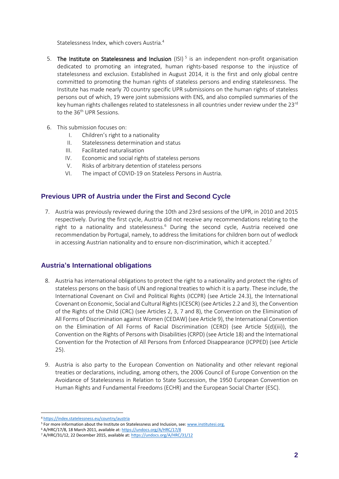Statelessness Index, which covers Austria.<sup>4</sup>

- 5. The Institute on Statelessness and Inclusion (ISI)<sup>5</sup> is an independent non-profit organisation dedicated to promoting an integrated, human rights-based response to the injustice of statelessness and exclusion. Established in August 2014, it is the first and only global centre committed to promoting the human rights of stateless persons and ending statelessness. The Institute has made nearly 70 country specific UPR submissions on the human rights of stateless persons out of which, 19 were joint submissions with ENS, and also compiled summaries of the key human rights challenges related to statelessness in all countries under review under the 23<sup>rd</sup> to the 36<sup>th</sup> UPR Sessions.
- 6. This submission focuses on:
	- I. Children's right to a nationality
	- II. Statelessness determination and status
	- III. Facilitated naturalisation
	- IV. Economic and social rights of stateless persons
	- V. Risks of arbitrary detention of stateless persons
	- VI. The impact of COVID-19 on Stateless Persons in Austria.

#### **Previous UPR of Austria under the First and Second Cycle**

7. Austria was previously reviewed during the 10th and 23rd sessions of the UPR, in 2010 and 2015 respectively. During the first cycle, Austria did not receive any recommendations relating to the right to a nationality and statelessness.<sup>6</sup> During the second cycle, Austria received one recommendation by Portugal, namely, to address the limitations for children born out of wedlock in accessing Austrian nationality and to ensure non-discrimination, which it accepted.<sup>7</sup>

#### **Austria's International obligations**

- 8. Austria has international obligations to protect the right to a nationality and protect the rights of stateless persons on the basis of UN and regional treaties to which it is a party. These include, the International Covenant on Civil and Political Rights (ICCPR) (see Article 24.3), the International Covenant on Economic, Social and Cultural Rights (ICESCR) (see Articles 2.2 and 3), the Convention of the Rights of the Child (CRC) (see Articles 2, 3, 7 and 8), the Convention on the Elimination of All Forms of Discrimination against Women (CEDAW) (see Article 9), the International Convention on the Elimination of All Forms of Racial Discrimination (CERD) (see Article 5(d)(iii)), the Convention on the Rights of Persons with Disabilities (CRPD) (see Article 18) and the International Convention for the Protection of All Persons from Enforced Disappearance (ICPPED) (see Article 25).
- 9. Austria is also party to the European Convention on Nationality and other relevant regional treaties or declarations, including, among others, the 2006 Council of Europe Convention on the Avoidance of Statelessness in Relation to State Succession, the 1950 European Convention on Human Rights and Fundamental Freedoms (ECHR) and the European Social Charter (ESC).

<sup>4</sup> <https://index.statelessness.eu/country/austria>

<sup>&</sup>lt;sup>5</sup> For more information about the Institute on Statelessness and Inclusion, see: www.institutesi.org.

<sup>6</sup> A/HRC/17/8, 18 March 2011, available at[: https://undocs.org/A/HRC/17/8](https://undocs.org/A/HRC/17/8)

<sup>&</sup>lt;sup>7</sup> A/HRC/31/12, 22 December 2015, available at[: https://undocs.org/A/HRC/31/12](https://undocs.org/A/HRC/31/12)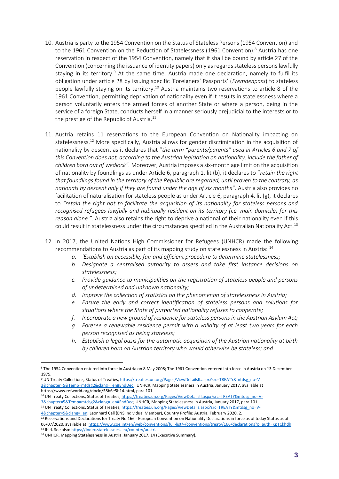- 10. Austria is party to the 1954 Convention on the Status of Stateless Persons (1954 Convention) and to the 1961 Convention on the Reduction of Statelessness (1961 Convention). $8$  Austria has one reservation in respect of the 1954 Convention, namely that it shall be bound by article 27 of the Convention (concerning the issuance of identity papers) only as regards stateless persons lawfully staying in its territory.<sup>9</sup> At the same time, Austria made one declaration, namely to fulfil its obligation under article 28 by issuing specific 'Foreigners' Passports' (*Fremdenpass*) to stateless people lawfully staying on its territory.<sup>10</sup> Austria maintains two reservations to article 8 of the 1961 Convention, permitting deprivation of nationality even if it results in statelessness where a person voluntarily enters the armed forces of another State or where a person, being in the service of a foreign State, conducts herself in a manner seriously prejudicial to the interests or to the prestige of the Republic of Austria. $11$
- 11. Austria retains 11 reservations to the European Convention on Nationality impacting on statelessness.<sup>12</sup> More specifically, Austria allows for gender discrimination in the acquisition of nationality by descent as it declares that "*the term "parents/parents" used in Articles 6 and 7 of this Convention does not, according to the Austrian legislation on nationality, include the father of children born out of wedlock".* Moreover, Austria imposes a six-month age limit on the acquisition of nationality by foundlings as under Article 6, paragraph 1, lit (b), it declares to "*retain the right that foundlings found in the territory of the Republic are regarded, until proven to the contrary, as nationals by descent only if they are found under the age of six months"*. Austria also provides no facilitation of naturalisation for stateless people as under Article 6, paragraph 4, lit (g), it declares to *"retain the right not to facilitate the acquisition of its nationality for stateless persons and recognised refugees lawfully and habitually resident on its territory (i.e. main domicile) for this reason alone."*. Austria also retains the right to deprive a national of their nationality even if this could result in statelessness under the circumstances specified in the Australian Nationality Act.<sup>13</sup>
- 12. In 2017, the United Nations High Commissioner for Refugees (UNHCR) made the following recommendations to Austria as part of its mapping study on statelessness in Austria: <sup>14</sup>
	- *a. 'Establish an accessible, fair and efficient procedure to determine statelessness;*
	- *b. Designate a centralised authority to assess and take first instance decisions on statelessness;*
	- *c. Provide guidance to municipalities on the registration of stateless people and persons of undetermined and unknown nationality;*
	- *d. Improve the collection of statistics on the phenomenon of statelessness in Austria;*
	- *e. Ensure the early and correct identification of stateless persons and solutions for situations where the State of purported nationality refuses to cooperate;*
	- *f. Incorporate a new ground of residence for stateless persons in the Austrian Asylum Act;*
	- *g. Foresee a renewable residence permit with a validity of at least two years for each person recognised as being stateless;*
	- *h. Establish a legal basis for the automatic acquisition of the Austrian nationality at birth by children born on Austrian territory who would otherwise be stateless; and*

<sup>8</sup> The 1954 Convention entered into force in Austria on 8 May 2008; The 1961 Convention entered into force in Austria on 13 December 1975.

<sup>9</sup> UN Treaty Collections, Status of Treaties[, https://treaties.un.org/Pages/ViewDetailsII.aspx?src=TREATY&mtdsg\\_no=V-](https://treaties.un.org/Pages/ViewDetailsII.aspx?src=TREATY&mtdsg_no=V-3&chapter=5&Temp=mtdsg2&clang=_en#EndDec)[3&chapter=5&Temp=mtdsg2&clang=\\_en#EndDec](https://treaties.un.org/Pages/ViewDetailsII.aspx?src=TREATY&mtdsg_no=V-3&chapter=5&Temp=mtdsg2&clang=_en#EndDec) ; UNHCR, Mapping Statelessness in Austria, January 2017, available at https://www.refworld.org/docid/58b6e5b14.html, para 101.

<sup>&</sup>lt;sup>10</sup> UN Treaty Collections, Status of Treaties[, https://treaties.un.org/Pages/ViewDetailsII.aspx?src=TREATY&mtdsg\\_no=V-](https://treaties.un.org/Pages/ViewDetailsII.aspx?src=TREATY&mtdsg_no=V-3&chapter=5&Temp=mtdsg2&clang=_en#EndDec)[3&chapter=5&Temp=mtdsg2&clang=\\_en#EndDec;](https://treaties.un.org/Pages/ViewDetailsII.aspx?src=TREATY&mtdsg_no=V-3&chapter=5&Temp=mtdsg2&clang=_en#EndDec) UNHCR, Mapping Statelessness in Austria, January 2017, para 101.

<sup>&</sup>lt;sup>11</sup> UN Treaty Collections, Status of Treaties[, https://treaties.un.org/Pages/ViewDetails.aspx?src=TREATY&mtdsg\\_no=V-](https://treaties.un.org/Pages/ViewDetails.aspx?src=TREATY&mtdsg_no=V-4&chapter=5&clang=_en)[4&chapter=5&clang=\\_en;](https://treaties.un.org/Pages/ViewDetails.aspx?src=TREATY&mtdsg_no=V-4&chapter=5&clang=_en) Leonhard Call (ENS Individual Member), Country Profile: Austria, February 2020, 2.

 $12$  Reservations and Declarations for Treaty No.166 - European Convention on Nationality Declarations in force as of today Status as of 06/07/2020, available at[: https://www.coe.int/en/web/conventions/full-list/-/conventions/treaty/166/declarations?p\\_auth=KpTCkhdh](https://www.coe.int/en/web/conventions/full-list/-/conventions/treaty/166/declarations?p_auth=KpTCkhdh) <sup>13</sup> Ibid. See also[: https://index.statelessness.eu/country/austria](https://index.statelessness.eu/country/austria)

<sup>&</sup>lt;sup>14</sup> UNHCR, Mapping Statelessness in Austria, January 2017, 14 (Executive Summary).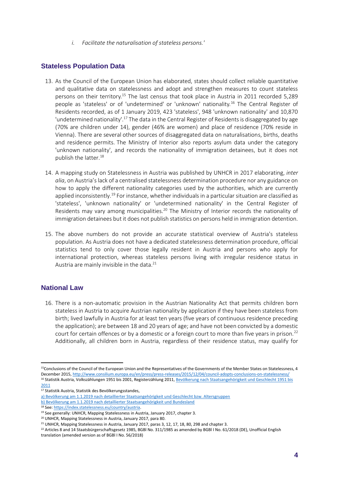*i. Facilitate the naturalisation of stateless persons.'*

#### **Stateless Population Data**

- 13. As the Council of the European Union has elaborated, states should collect reliable quantitative and qualitative data on statelessness and adopt and strengthen measures to count stateless persons on their territory.<sup>15</sup> The last census that took place in Austria in 2011 recorded 5,289 people as 'stateless' or of 'undetermined' or 'unknown' nationality.<sup>16</sup> The Central Register of Residents recorded, as of 1 January 2019, 423 'stateless', 948 'unknown nationality' and 10,870 'undetermined nationality'.<sup>17</sup> The data in the Central Register of Residents is disaggregated by age (70% are children under 14), gender (46% are women) and place of residence (70% reside in Vienna). There are several other sources of disaggregated data on naturalisations, births, deaths and residence permits. The Ministry of Interior also reports asylum data under the category 'unknown nationality', and records the nationality of immigration detainees, but it does not publish the latter.<sup>18</sup>
- 14. A mapping study on Statelessness in Austria was published by UNHCR in 2017 elaborating, *inter alia*, on Austria's lack of a centralised statelessness determination procedure nor any guidance on how to apply the different nationality categories used by the authorities, which are currently applied inconsistently.<sup>19</sup> For instance, whether individuals in a particular situation are classified as 'stateless', 'unknown nationality' or 'undetermined nationality' in the Central Register of Residents may vary among municipalities.<sup>20</sup> The Ministry of Interior records the nationality of immigration detainees but it does not publish statistics on persons held in immigration detention.
- 15. The above numbers do not provide an accurate statistical overview of Austria's stateless population. As Austria does not have a dedicated statelessness determination procedure, official statistics tend to only cover those legally resident in Austria and persons who apply for international protection, whereas stateless persons living with irregular residence status in Austria are mainly invisible in the data.<sup>21</sup>

#### **National Law**

16. There is a non-automatic provision in the Austrian Nationality Act that permits children born stateless in Austria to acquire Austrian nationality by application if they have been stateless from birth; lived lawfully in Austria for at least ten years (five years of continuous residence preceding the application); are between 18 and 20 years of age; and have not been convicted by a domestic court for certain offences or by a domestic or a foreign court to more than five years in prison.<sup>22</sup> Additionally, all children born in Austria, regardless of their residence status, may qualify for

[b\) Bevölkerung am 1.1.2019 nach detaillierter Staatsangehörigkeit und Bundesland](https://www.statistik.at/web_de/statistiken/menschen_und_gesellschaft/bevoelkerung/bevoelkerungsstruktur/bevoelkerung_nach_staatsangehoerigkeit_geburtsland/index.html)

<sup>&</sup>lt;sup>15</sup>Conclusions of the Council of the European Union and the Representatives of the Governments of the Member States on Statelessness, 4 December 2015[, http://www.consilium.europa.eu/en/press/press-releases/2015/12/04/council-adopts-conclusions-on-statelessness/](http://www.consilium.europa.eu/en/press/press-releases/2015/12/04/council-adopts-conclusions-on-statelessness/) <sup>16</sup> Statistik Austria, Volkszählungen 1951 bis 2001, Registerzählung 2011, Bevölkerung nach Staatsangehörigkeit und Geschlecht 1951 bis

[<sup>2011</sup>](https://www.statistik.at/web_de/statistiken/menschen_und_gesellschaft/bevoelkerung/volkszaehlungen_registerzaehlungen_abgestimmte_erwerbsstatistik/bevoelkerung_nach_demographischen_merkmalen/index.html#index2)

<sup>17</sup> Statistik Austria, Statistik des Bevölkerungsstandes,

[a\) Bevölkerung am 1.1.2019 nach detaillierter Staatsangehörigkeit und Geschlecht bzw. Altersgruppen](https://www.statistik.at/web_de/statistiken/menschen_und_gesellschaft/bevoelkerung/bevoelkerungsstruktur/bevoelkerung_nach_staatsangehoerigkeit_geburtsland/index.html)

<sup>18</sup> See[: https://index.statelessness.eu/country/austria.](https://index.statelessness.eu/country/austria) 

<sup>&</sup>lt;sup>19</sup> See generally: UNHCR, Mapping Statelessness in Austria, January 2017, chapter 3.

<sup>20</sup> UNHCR, Mapping Statelessness in Austria, January 2017, para 80.

<sup>&</sup>lt;sup>21</sup> UNHCR, Mapping Statelessness in Austria, January 2017, paras 3, 12, 17, 18, 80, 298 and chapter 3.

<sup>&</sup>lt;sup>22</sup> Articles 8 and 14 Staatsbürgerschaftsgesetz 1985, BGBl No. 311/1985 as amended by BGBl I No. 61/2018 (DE), Unofficial English translation (amended version as of BGBl I No. 56/2018)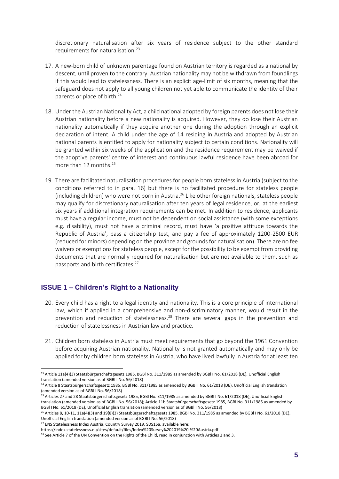discretionary naturalisation after six years of residence subject to the other standard requirements for naturalisation.<sup>23</sup>

- 17. A new-born child of unknown parentage found on Austrian territory is regarded as a national by descent, until proven to the contrary. Austrian nationality may not be withdrawn from foundlings if this would lead to statelessness. There is an explicit age-limit of six months, meaning that the safeguard does not apply to all young children not yet able to communicate the identity of their parents or place of birth.<sup>24</sup>
- 18. Under the Austrian Nationality Act, a child national adopted by foreign parents does not lose their Austrian nationality before a new nationality is acquired. However, they do lose their Austrian nationality automatically if they acquire another one during the adoption through an explicit declaration of intent. A child under the age of 14 residing in Austria and adopted by Austrian national parents is entitled to apply for nationality subject to certain conditions. Nationality will be granted within six weeks of the application and the residence requirement may be waived if the adoptive parents' centre of interest and continuous lawful residence have been abroad for more than 12 months.<sup>25</sup>
- 19. There are facilitated naturalisation procedures for people born stateless in Austria (subject to the conditions referred to in para. 16) but there is no facilitated procedure for stateless people (including children) who were not born in Austria.<sup>26</sup> Like other foreign nationals, stateless people may qualify for discretionary naturalisation after ten years of legal residence, or, at the earliest six years if additional integration requirements can be met. In addition to residence, applicants must have a regular income, must not be dependent on social assistance (with some exceptions e.g. disability), must not have a criminal record, must have 'a positive attitude towards the Republic of Austria', pass a citizenship test, and pay a fee of approximately 1200-2500 EUR (reduced for minors) depending on the province and grounds for naturalisation). There are no fee waivers or exemptions for stateless people, except for the possibility to be exempt from providing documents that are normally required for naturalisation but are not available to them, such as passports and birth certificates.<sup>27</sup>

#### **ISSUE 1 – Children's Right to a Nationality**

- 20. Every child has a right to a legal identity and nationality. This is a core principle of international law, which if applied in a comprehensive and non-discriminatory manner, would result in the prevention and reduction of statelessness.<sup>28</sup> There are several gaps in the prevention and reduction of statelessness in Austrian law and practice.
- 21. Children born stateless in Austria must meet requirements that go beyond the 1961 Convention before acquiring Austrian nationality. Nationality is not granted automatically and may only be applied for by children born stateless in Austria, who have lived lawfully in Austria for at least ten

<sup>&</sup>lt;sup>23</sup> Article 11a(4)(3) Staatsbürgerschaftsgesetz 1985, BGBl No. 311/1985 as amended by BGBl I No. 61/2018 (DE), Unofficial English translation (amended version as of BGBl I No. 56/2018)

<sup>&</sup>lt;sup>24</sup> Article 8 Staatsbürgerschaftsgesetz 1985, BGBl No. 311/1985 as amended by BGBl I No. 61/2018 (DE), Unofficial English translation (amended version as of BGBl I No. 56/2018)

<sup>&</sup>lt;sup>25</sup> Articles 27 and 28 Staatsbürgerschaftsgesetz 1985, BGBI No. 311/1985 as amended by BGBI I No. 61/2018 (DE), Unofficial English translation (amended version as of BGBl I No. 56/2018); Article 11b Staatsbürgerschaftsgesetz 1985, BGBl No. 311/1985 as amended by BGBl I No. 61/2018 (DE), Unofficial English translation (amended version as of BGBl I No. 56/2018)

<sup>26</sup> Articles 8, 10-11, 11a(4)(3) and 19(8)(3) Staatsbürgerschaftsgesetz 1985, BGBl No. 311/1985 as amended by BGBl I No. 61/2018 (DE), Unofficial English translation (amended version as of BGBl I No. 56/2018)

<sup>&</sup>lt;sup>27</sup> ENS Statelessness Index Austria, Country Survey 2019, SDS15a, available here:

https://index.statelessness.eu/sites/default/files/Index%20Survey%202019%20-%20Austria.pdf

<sup>&</sup>lt;sup>28</sup> See Article 7 of the UN Convention on the Rights of the Child, read in conjunction with Articles 2 and 3.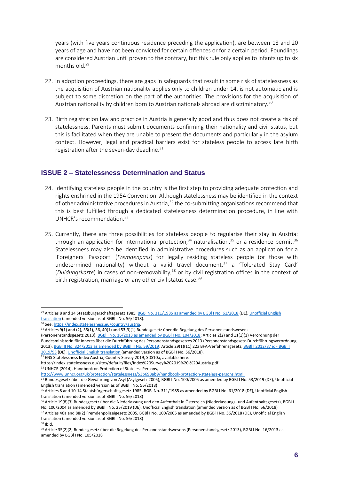years (with five years continuous residence preceding the application), are between 18 and 20 years of age and have not been convicted for certain offences or for a certain period. Foundlings are considered Austrian until proven to the contrary, but this rule only applies to infants up to six months old.<sup>29</sup>

- 22. In adoption proceedings, there are gaps in safeguards that result in some risk of statelessness as the acquisition of Austrian nationality applies only to children under 14, is not automatic and is subject to some discretion on the part of the authorities. The provisions for the acquisition of Austrian nationality by children born to Austrian nationals abroad are discriminatory.<sup>30</sup>
- 23. Birth registration law and practice in Austria is generally good and thus does not create a risk of statelessness. Parents must submit documents confirming their nationality and civil status, but this is facilitated when they are unable to present the documents and particularly in the asylum context. However, legal and practical barriers exist for stateless people to access late birth registration after the seven-day deadline. $31$

#### **ISSUE 2 – Statelessness Determination and Status**

- 24. Identifying stateless people in the country is the first step to providing adequate protection and rights enshrined in the 1954 Convention. Although statelessness may be identified in the context of other administrative procedures in Austria,  $32$  the co-submitting organisations recommend that this is best fulfilled through a dedicated statelessness determination procedure, in line with UNHCR's recommendation.<sup>33</sup>
- 25. Currently, there are three possibilities for stateless people to regularise their stay in Austria: through an application for international protection, $34$  naturalisation, $35$  or a residence permit.  $36$ Statelessness may also be identified in administrative procedures such as an application for a 'Foreigners' Passport' (*Fremdenpass*) for legally residing stateless people (or those with undetermined nationality) without a valid travel document, $37$  a 'Tolerated Stay Card' (*Duldungskarte*) in cases of non-removability,<sup>38</sup> or by civil registration offices in the context of birth registration, marriage or any other civil status case.<sup>39</sup>

[http://www.unhcr.org/uk/protection/statelessness/53b698ab9/handbook-protection-stateless-persons.html.](http://www.unhcr.org/uk/protection/statelessness/53b698ab9/handbook-protection-stateless-persons.html)

<sup>&</sup>lt;sup>29</sup> Articles 8 and 14 Staatsbürgerschaftsgesetz 1985, BGBI No. 311/1985 as amended by BGBI I No. 61/2018 (DE), Unofficial English [translation](https://www.refworld.org/docid/5c863d394.html) (amended version as of BGBl I No. 56/2018).

<sup>30</sup> See[: https://index.statelessness.eu/country/austria.](https://index.statelessness.eu/country/austria)

<sup>31</sup> Articles 9(1) and (2), 35(1), 36, 40(1) and 53(3)(1) Bundesgesetz über die Regelung des Personenstandswesens

<sup>(</sup>Personenstandsgesetz 2013)[, BGBl I No. 16/2013 as amended by BGBl I No. 104/2018;](https://www.ris.bka.gv.at/GeltendeFassung.wxe?Abfrage=Bundesnormen&Gesetzesnummer=20008228) Articles 2(2) and 11(1)(1) Verordnung der Bundesministerin für Inneres über die Durchführung des Personenstandsgesetzes 2013 (Personenstandsgesetz-Durchführungsverordnung 2013)[, BGBl II No. 324/2013 as amended by BGBl II No. 59/2019;](https://www.ris.bka.gv.at/GeltendeFassung.wxe?Abfrage=Bundesnormen&Gesetzesnummer=20008627) Article 29(1)(11) 22a BFA-Verfahrensgesetz[, BGBl I 2012/87 idF BGBl I](https://www.ris.bka.gv.at/GeltendeFassung.wxe?Abfrage=Bundesnormen&Gesetzesnummer=20007944)  [2019/53](https://www.ris.bka.gv.at/GeltendeFassung.wxe?Abfrage=Bundesnormen&Gesetzesnummer=20007944) (DE)[, Unofficial English translation](https://www.refworld.org/docid/5c863e697.html) (amended version as of BGBl I No. 56/2018).

<sup>32</sup> ENS Statelessness Index Austria, Country Survey 2019, SDS10a, available here:

https://index.statelessness.eu/sites/default/files/Index%20Survey%202019%20-%20Austria.pdf 33 UNHCR (2014), Handbook on Protection of Stateless Persons,

<sup>34</sup> Bundesgesetz über die Gewährung von Asyl (Asylgesetz 2005), BGBI I No. 100/2005 as amended by BGBI I No. 53/2019 (DE), Unofficial English translation (amended version as of BGBl I No. 56/2018)

<sup>&</sup>lt;sup>35</sup> Articles 8 and 10-14 Staatsbürgerschaftsgesetz 1985, BGBl No. 311/1985 as amended by BGBl I No. 61/2018 (DE), Unofficial English translation (amended version as of BGBl I No. 56/2018)

<sup>36</sup> Article 19(8)(3) Bundesgesetz über die Niederlassung und den Aufenthalt in Österreich (Niederlassungs- und Aufenthaltsgesetz), BGBl I No. 100/2004 as amended by BGBl I No. 25/2019 (DE), Unofficial English translation (amended version as of BGBl I No. 56/2018)

<sup>37</sup> Articles 46a and 88(2) Fremdenpolizeigesetz 2005, BGBl I No. 100/2005 as amended by BGBl I No. 56/2018 (DE), Unofficial English translation (amended version as of BGBl I No. 56/2018) <sup>38</sup> Ibid.

<sup>39</sup> Article 35(2)(2) Bundesgesetz über die Regelung des Personenstandswesens (Personenstandsgesetz 2013), BGBl I No. 16/2013 as amended by BGBl I No. 105/2018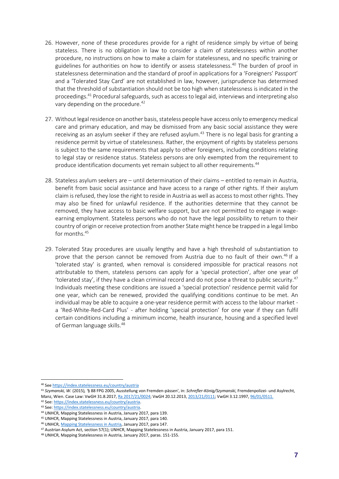- 26. However, none of these procedures provide for a right of residence simply by virtue of being stateless. There is no obligation in law to consider a claim of statelessness within another procedure, no instructions on how to make a claim for statelessness, and no specific training or guidelines for authorities on how to identify or assess statelessness.<sup>40</sup> The burden of proof in statelessness determination and the standard of proof in applications for a 'Foreigners' Passport' and a 'Tolerated Stay Card' are not established in law, however, jurisprudence has determined that the threshold of substantiation should not be too high when statelessness is indicated in the proceedings.<sup>41</sup> Procedural safeguards, such as access to legal aid, interviews and interpreting also vary depending on the procedure.<sup>42</sup>
- 27. Without legal residence on another basis, stateless people have access only to emergency medical care and primary education, and may be dismissed from any basic social assistance they were receiving as an asylum seeker if they are refused asylum.<sup>43</sup> There is no legal basis for granting a residence permit by virtue of statelessness. Rather, the enjoyment of rights by stateless persons is subject to the same requirements that apply to other foreigners, including conditions relating to legal stay or residence status. Stateless persons are only exempted from the requirement to produce identification documents yet remain subject to all other requirements.<sup>44</sup>
- 28. Stateless asylum seekers are until determination of their claims entitled to remain in Austria, benefit from basic social assistance and have access to a range of other rights. If their asylum claim is refused, they lose the right to reside in Austria as well as access to most other rights. They may also be fined for unlawful residence. If the authorities determine that they cannot be removed, they have access to basic welfare support, but are not permitted to engage in wageearning employment. Stateless persons who do not have the legal possibility to return to their country of origin or receive protection from another State might hence be trapped in a legal limbo for months.<sup>45</sup>
- 29. Tolerated Stay procedures are usually lengthy and have a high threshold of substantiation to prove that the person cannot be removed from Austria due to no fault of their own.<sup>46</sup> If a 'tolerated stay' is granted, when removal is considered impossible for practical reasons not attributable to them, stateless persons can apply for a 'special protection', after one year of 'tolerated stay', if they have a clean criminal record and do not pose a threat to public security.<sup>47</sup> Individuals meeting these conditions are issued a 'special protection' residence permit valid for one year, which can be renewed, provided the qualifying conditions continue to be met. An individual may be able to acquire a one-year residence permit with access to the labour market a 'Red-White-Red-Card Plus' - after holding 'special protection' for one year if they can fulfil certain conditions including a minimum income, health insurance, housing and a specified level of German language skills. 48

<sup>40</sup> See <https://index.statelessness.eu/country/austria>

<sup>41</sup> *Szymanski, W.* (2015)*, '*§ 88 FPG 2005, Ausstellung von Fremden-pässen', in: *Schrefler-König/Szymanski*, Fremdenpolizei- und Asylrecht, Manz, Wien. Case Law: VwGH 31.8.2017[, Ra 2017/21/0024;](https://www.ris.bka.gv.at/Dokument.wxe?ResultFunctionToken=db4b5df8-5864-4cd1-841f-410b25e5b4a0&Position=1&Abfrage=Vwgh&Entscheidungsart=Undefined&Sammlungsnummer=&Index=&AenderungenSeit=Undefined&SucheNachRechtssatz=False&SucheNachText=True&GZ=&VonDatum=&BisDatum=29.07.2019&Norm=&ImRisSeitVonDatum=&ImRisSeitBisDatum=&ImRisSeit=Undefined&ResultPageSize=100&Suchworte=%27staatenlosigkeit%27&Dokumentnummer=JWT_2017210024_20170831L00) VwGH 20.12.2013[, 2013/21/0111;](https://www.ris.bka.gv.at/Dokument.wxe?Abfrage=Vwgh&Dokumentnummer=JWT_2013210111_20131220X00) VwGH 3.12.1997[, 96/01/0511.](https://www.ris.bka.gv.at/Dokument.wxe?Abfrage=Vwgh&Dokumentnummer=JWT_1996010511_19971203X00)

<sup>42</sup> See[: https://index.statelessness.eu/country/austria.](https://index.statelessness.eu/country/austria) 

<sup>43</sup> See[: https://index.statelessness.eu/country/austria.](https://index.statelessness.eu/country/austria)

<sup>44</sup> UNHCR, Mapping Statelessness in Austria, January 2017, para 139.

<sup>45</sup> UNHCR, Mapping Statelessness in Austria, January 2017, para 140.

<sup>46</sup> UNHCR[, Mapping Statelessness in Austria,](https://www.refworld.org/docid/58b6e5b14.html) January 2017, para 147.

<sup>47</sup> Austrian Asylum Act, section 57(1); UNHCR, Mapping Statelessness in Austria, January 2017, para 151.

<sup>48</sup> UNHCR, Mapping Statelessness in Austria, January 2017, paras. 151-155.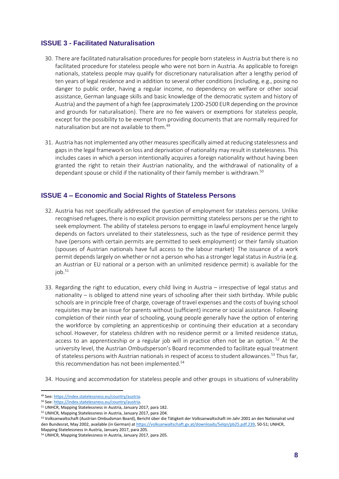#### **ISSUE 3 - Facilitated Naturalisation**

- 30. There are facilitated naturalisation procedures for people born stateless in Austria but there is no facilitated procedure for stateless people who were not born in Austria. As applicable to foreign nationals, stateless people may qualify for discretionary naturalisation after a lengthy period of ten years of legal residence and in addition to several other conditions (including, e.g., posing no danger to public order, having a regular income, no dependency on welfare or other social assistance, German language skills and basic knowledge of the democratic system and history of Austria) and the payment of a high fee (approximately 1200-2500 EUR depending on the province and grounds for naturalisation). There are no fee waivers or exemptions for stateless people, except for the possibility to be exempt from providing documents that are normally required for naturalisation but are not available to them.<sup>49</sup>
- 31. Austria has not implemented any other measures specifically aimed at reducing statelessness and gaps in the legal framework on loss and deprivation of nationality may result in statelessness. This includes cases in which a person intentionally acquires a foreign nationality without having been granted the right to retain their Austrian nationality, and the withdrawal of nationality of a dependant spouse or child if the nationality of their family member is withdrawn.<sup>50</sup>

#### **ISSUE 4 – Economic and Social Rights of Stateless Persons**

- 32. Austria has not specifically addressed the question of employment for stateless persons. Unlike recognised refugees, there is no explicit provision permitting stateless persons per se the right to seek employment. The ability of stateless persons to engage in lawful employment hence largely depends on factors unrelated to their statelessness, such as the type of residence permit they have (persons with certain permits are permitted to seek employment) or their family situation (spouses of Austrian nationals have full access to the labour market). The issuance of a work permit depends largely on whether or not a person who has a stronger legal status in Austria (e.g. an Austrian or EU national or a person with an unlimited residence permit) is available for the  $i$ ob. $51$
- 33. Regarding the right to education, every child living in Austria irrespective of legal status and nationality – is obliged to attend nine years of schooling after their sixth birthday. While public schools are in principle free of charge, coverage of travel expenses and the costs of buying school requisites may be an issue for parents without (sufficient) income or social assistance. Following completion of their ninth year of schooling, young people generally have the option of entering the workforce by completing an apprenticeship or continuing their education at a secondary school. However, for stateless children with no residence permit or a limited residence status, access to an apprenticeship or a regular job will in practice often not be an option. <sup>52</sup> At the university level, the Austrian Ombudsperson's Board recommended to facilitate equal treatment of stateless persons with Austrian nationals in respect of access to student allowances.<sup>53</sup> Thus far, this recommendation has not been implemented.<sup>54</sup>
- 34. Housing and accommodation for stateless people and other groups in situations of vulnerability

<sup>49</sup> See[: https://index.statelessness.eu/country/austria.](https://index.statelessness.eu/country/austria)

<sup>50</sup> See[: https://index.statelessness.eu/country/austria.](https://index.statelessness.eu/country/austria)

<sup>51</sup> UNHCR, Mapping Statelessness in Austria, January 2017, para 182.

<sup>52</sup> UNHCR, Mapping Statelessness in Austria, January 2017, para 204.

<sup>53</sup> Volksanwaltschaft (Austrian Ombudsman Board), Bericht über die Tätigkeit der Volksanwaltschaft im Jahr 2001 an den Nationalrat und den Bundesrat, May 2002, available (in German) a[t https://volksanwaltschaft.gv.at/downloads/5elqn/pb25.pdf.239,](https://volksanwaltschaft.gv.at/downloads/5elqn/pb25.pdf.239) 50-51; UNHCR, Mapping Statelessness in Austria, January 2017, para 205.

<sup>54</sup> UNHCR, Mapping Statelessness in Austria, January 2017, para 205.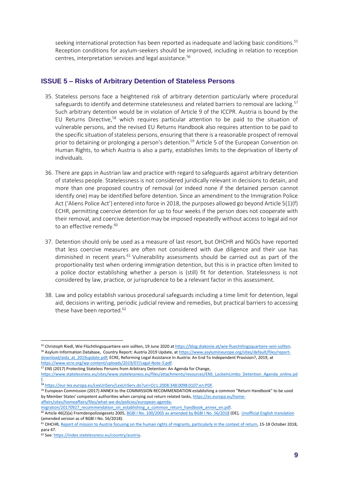seeking international protection has been reported as inadequate and lacking basic conditions.<sup>55</sup> Reception conditions for asylum-seekers should be improved, including in relation to reception centres, interpretation services and legal assistance.<sup>56</sup>

#### **ISSUE 5 – Risks of Arbitrary Detention of Stateless Persons**

- 35. Stateless persons face a heightened risk of arbitrary detention particularly where procedural safeguards to identify and determine statelessness and related barriers to removal are lacking.<sup>57</sup> Such arbitrary detention would be in violation of Article 9 of the ICCPR. Austria is bound by the EU Returns Directive,<sup>58</sup> which requires particular attention to be paid to the situation of vulnerable persons, and the revised EU Returns Handbook also requires attention to be paid to the specific situation of stateless persons, ensuring that there is a reasonable prospect of removal prior to detaining or prolonging a person's detention.<sup>59</sup> Article 5 of the European Convention on Human Rights, to which Austria is also a party, establishes limits to the deprivation of liberty of individuals.
- 36. There are gaps in Austrian law and practice with regard to safeguards against arbitrary detention of stateless people. Statelessness is not considered juridically relevant in decisions to detain, and more than one proposed country of removal (or indeed none if the detained person cannot identify one) may be identified before detention. Since an amendment to the Immigration Police Act ('Aliens Police Act') entered into force in 2018, the purposes allowed go beyond Article 5(1)(f) ECHR, permitting coercive detention for up to four weeks if the person does not cooperate with their removal, and coercive detention may be imposed repeatedly without access to legal aid nor to an effective remedy.<sup>60</sup>
- 37. Detention should only be used as a measure of last resort, but OHCHR and NGOs have reported that less coercive measures are often not considered with due diligence and their use has diminished in recent years.<sup>61</sup> Vulnerability assessments should be carried out as part of the proportionality test when ordering immigration detention, but this is in practice often limited to a police doctor establishing whether a person is (still) fit for detention. Statelessness is not considered by law, practice, or jurisprudence to be a relevant factor in this assessment.
- 38. Law and policy establish various procedural safeguards including a time limit for detention, legal aid, decisions in writing, periodic judicial review and remedies, but practical barriers to accessing these have been reported.<sup>62</sup>

[affairs/sites/homeaffairs/files/what-we-do/policies/european-agenda-](https://ec.europa.eu/home-affairs/sites/homeaffairs/files/what-we-do/policies/european-agenda-migration/20170927_recommendation_on_establishing_a_common_return_handbook_annex_en.pdf)

<sup>55</sup> Christoph Riedl, Wie Flüchtlingsquartiere sein sollten, 19 June 2020 a[t https://blog.diakonie.at/wie-fluechtlingsquartiere-sein-sollten.](https://blog.diakonie.at/wie-fluechtlingsquartiere-sein-sollten) 56 Asylum Information Database, Country Report: Austria 2019 Update, a[t https://www.asylumineurope.org/sites/default/files/report](https://www.asylumineurope.org/sites/default/files/report-download/aida_at_2019update.pdf)[download/aida\\_at\\_2019update.pdf;](https://www.asylumineurope.org/sites/default/files/report-download/aida_at_2019update.pdf) ECRE, Reforming Legal Assistance In Austria: An End To Independent Provision?, 2019, at [https://www.ecre.org/wp-content/uploads/2019/07/Legal-Note-5.pdf.](https://www.ecre.org/wp-content/uploads/2019/07/Legal-Note-5.pdf)

<sup>57</sup> ENS (2017) Protecting Stateless Persons from Arbitrary Detention: An Agenda for Change,

[https://www.statelessness.eu/sites/www.statelessness.eu/files/attachments/resources/ENS\\_LockeInLimbo\\_Detention\\_Agenda\\_online.pd](https://www.statelessness.eu/sites/www.statelessness.eu/files/attachments/resources/ENS_LockeInLimbo_Detention_Agenda_online.pdf) [f.](https://www.statelessness.eu/sites/www.statelessness.eu/files/attachments/resources/ENS_LockeInLimbo_Detention_Agenda_online.pdf) 

<sup>58</sup> [https://eur-lex.europa.eu/LexUriServ/LexUriServ.do?uri=OJ:L:2008:348:0098:0107:en:PDF.](https://eur-lex.europa.eu/LexUriServ/LexUriServ.do?uri=OJ:L:2008:348:0098:0107:en:PDF) 

<sup>&</sup>lt;sup>59</sup> European Commission (2017) ANNEX to the COMMISSION RECOMMENDATION establishing a common "Return Handbook" to be used by Member States' competent authorities when carrying out return related tasks[, https://ec.europa.eu/home-](https://ec.europa.eu/home-affairs/sites/homeaffairs/files/what-we-do/policies/european-agenda-migration/20170927_recommendation_on_establishing_a_common_return_handbook_annex_en.pdf)

migration/20170927\_recommendation\_on\_establishing\_a\_common\_return\_handbook\_annex\_en.pdf.

<sup>60</sup> Article 46(2)(a) Fremdenpolizeigesetz 2005, BGBl I No. 100/2005 as amended by BGBI I No. 56/2018 (DE), [Unofficial English translation](https://www.refworld.org/docid/5c8626fa7.html) (amended version as of BGBl I No. 56/2018).

<sup>&</sup>lt;sup>61</sup> OHCHR, Report [of mission to Austria focusing on the human rights of migrants, particularly in the context of return,](https://www.ohchr.org/Documents/Countries/AT/AustriaReport.pdf) 15-18 October 2018, para 47.

<sup>62</sup> See[: https://index.statelessness.eu/country/austria.](https://index.statelessness.eu/country/austria)